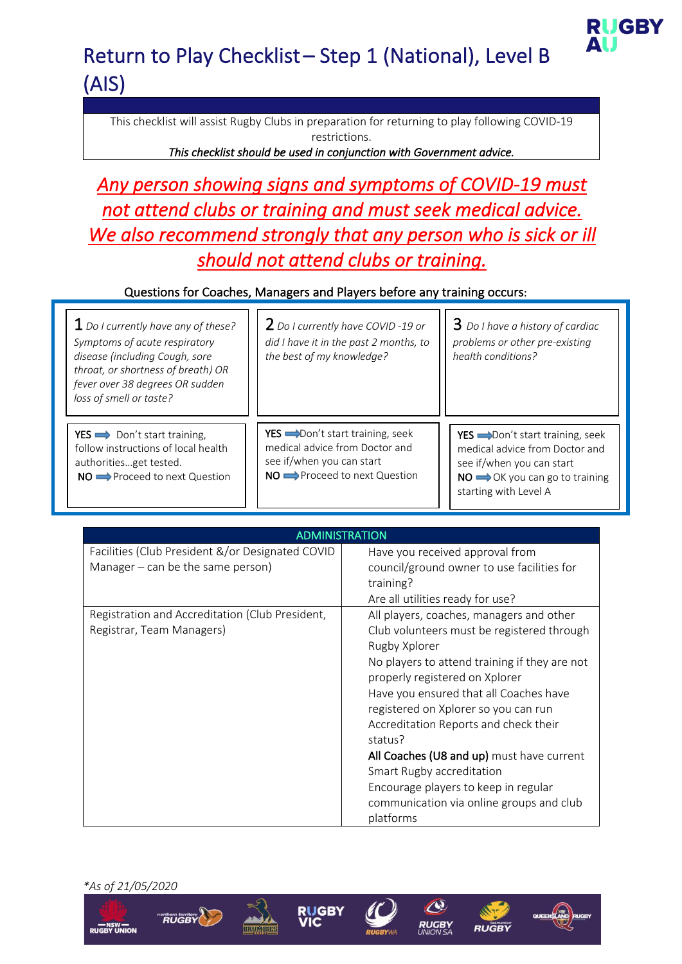

This checklist will assist Rugby Clubs in preparation for returning to play following COVID-19 restrictions.

*This checklist should be used in conjunction with Government advice.* 

*Any person showing signs and symptoms of COVID-19 must not attend clubs or training and must seek medical advice. We also recommend strongly that any person who is sick or ill should not attend clubs or training.* 

### Questions for Coaches, Managers and Players before any training occurs:

| $1$ Do I currently have any of these?<br>Symptoms of acute respiratory<br>disease (including Cough, sore<br>throat, or shortness of breath) OR<br>fever over 38 degrees OR sudden<br>loss of smell or taste? | <b>Z</b> Do I currently have COVID -19 or<br>did I have it in the past 2 months, to<br>the best of my knowledge?                               | $3$ Do I have a history of cardiac<br>problems or other pre-existing<br>health conditions?                                                                                        |
|--------------------------------------------------------------------------------------------------------------------------------------------------------------------------------------------------------------|------------------------------------------------------------------------------------------------------------------------------------------------|-----------------------------------------------------------------------------------------------------------------------------------------------------------------------------------|
| YES $\implies$ Don't start training,<br>follow instructions of local health<br>authoritiesget tested.<br>NO Proceed to next Question                                                                         | YES  in Don't start training, seek<br>medical advice from Doctor and<br>see if/when you can start<br>$NO \rightarrow$ Proceed to next Question | YES  ightharpoon't start training, seek<br>medical advice from Doctor and<br>see if/when you can start<br>$NO \longrightarrow OK$ you can go to training<br>starting with Level A |

| ADMINISTRATION                                                                          |                                                                                                                                                                                                                                                                                                                                                                                                                                                                                                             |  |
|-----------------------------------------------------------------------------------------|-------------------------------------------------------------------------------------------------------------------------------------------------------------------------------------------------------------------------------------------------------------------------------------------------------------------------------------------------------------------------------------------------------------------------------------------------------------------------------------------------------------|--|
| Facilities (Club President &/or Designated COVID<br>Manager $-$ can be the same person) | Have you received approval from<br>council/ground owner to use facilities for<br>training?<br>Are all utilities ready for use?                                                                                                                                                                                                                                                                                                                                                                              |  |
| Registration and Accreditation (Club President,<br>Registrar, Team Managers)            | All players, coaches, managers and other<br>Club volunteers must be registered through<br>Rugby Xplorer<br>No players to attend training if they are not<br>properly registered on Xplorer<br>Have you ensured that all Coaches have<br>registered on Xplorer so you can run<br>Accreditation Reports and check their<br>status?<br>All Coaches (U8 and up) must have current<br>Smart Rugby accreditation<br>Encourage players to keep in regular<br>communication via online groups and club<br>platforms |  |

*\*As of 21/05/2020*

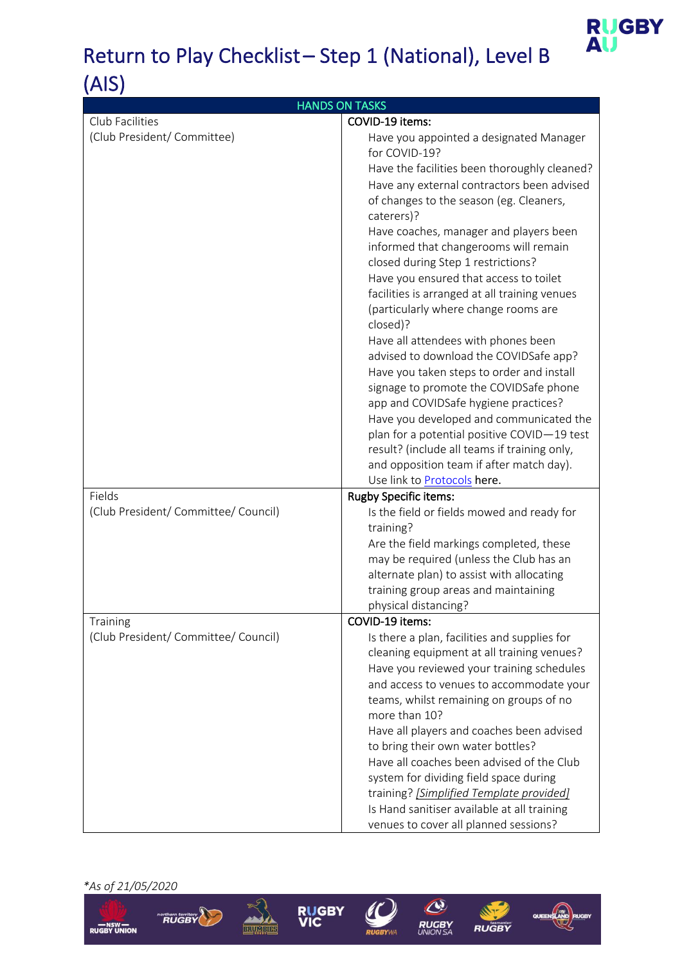

| <b>HANDS ON TASKS</b>                            |                                                                                |  |
|--------------------------------------------------|--------------------------------------------------------------------------------|--|
| Club Facilities                                  | COVID-19 items:                                                                |  |
| (Club President/ Committee)                      | Have you appointed a designated Manager<br>for COVID-19?                       |  |
|                                                  | Have the facilities been thoroughly cleaned?                                   |  |
|                                                  | Have any external contractors been advised                                     |  |
|                                                  | of changes to the season (eg. Cleaners,<br>caterers)?                          |  |
|                                                  | Have coaches, manager and players been                                         |  |
|                                                  | informed that changerooms will remain                                          |  |
|                                                  | closed during Step 1 restrictions?                                             |  |
|                                                  | Have you ensured that access to toilet                                         |  |
|                                                  | facilities is arranged at all training venues                                  |  |
|                                                  | (particularly where change rooms are<br>closed)?                               |  |
|                                                  | Have all attendees with phones been                                            |  |
|                                                  | advised to download the COVIDSafe app?                                         |  |
|                                                  | Have you taken steps to order and install                                      |  |
|                                                  | signage to promote the COVIDSafe phone<br>app and COVIDSafe hygiene practices? |  |
|                                                  | Have you developed and communicated the                                        |  |
|                                                  | plan for a potential positive COVID-19 test                                    |  |
|                                                  | result? (include all teams if training only,                                   |  |
|                                                  | and opposition team if after match day).                                       |  |
|                                                  | Use link to <b>Protocols</b> here.                                             |  |
| Fields                                           | <b>Rugby Specific items:</b>                                                   |  |
| (Club President/ Committee/ Council)             | Is the field or fields mowed and ready for<br>training?                        |  |
|                                                  | Are the field markings completed, these                                        |  |
|                                                  | may be required (unless the Club has an                                        |  |
|                                                  | alternate plan) to assist with allocating                                      |  |
|                                                  | training group areas and maintaining                                           |  |
|                                                  | physical distancing?                                                           |  |
| Training<br>(Club President/ Committee/ Council) | COVID-19 items:<br>Is there a plan, facilities and supplies for                |  |
|                                                  | cleaning equipment at all training venues?                                     |  |
|                                                  | Have you reviewed your training schedules                                      |  |
|                                                  | and access to venues to accommodate your                                       |  |
|                                                  | teams, whilst remaining on groups of no                                        |  |
|                                                  | more than 10?                                                                  |  |
|                                                  | Have all players and coaches been advised                                      |  |
|                                                  | to bring their own water bottles?                                              |  |
|                                                  | Have all coaches been advised of the Club                                      |  |
|                                                  | system for dividing field space during                                         |  |
|                                                  | training? [Simplified Template provided]                                       |  |
|                                                  | Is Hand sanitiser available at all training                                    |  |
|                                                  | venues to cover all planned sessions?                                          |  |

*\*As of 21/05/2020*











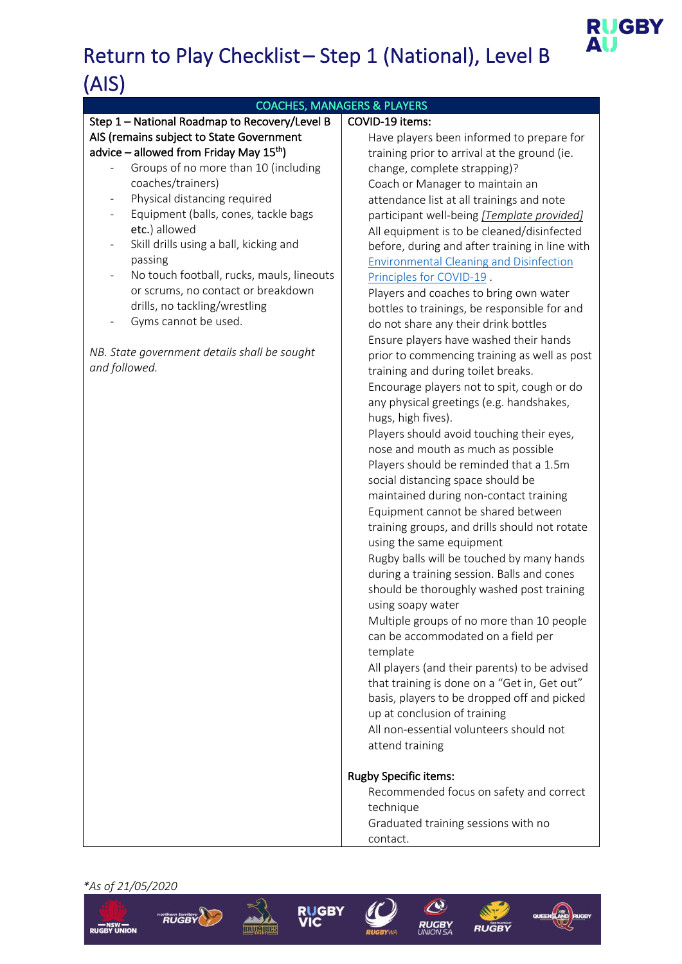### COACHES, MANAGERS & PLAYERS

#### Step 1 – National Roadmap to Recovery/Level B AIS (remains subject to State Government advice – allowed from Friday May  $15<sup>th</sup>$ )

- Groups of no more than 10 (including coaches/trainers)
- Physical distancing required
- Equipment (balls, cones, tackle bags etc.) allowed
- Skill drills using a ball, kicking and passing
- No touch football, rucks, mauls, lineouts or scrums, no contact or breakdown drills, no tackling/wrestling
- Gyms cannot be used.

*NB. State government details shall be sought and followed.*

### COVID-19 items:

 Have players been informed to prepare for training prior to arrival at the ground (ie. change, complete strapping)? Coach or Manager to maintain an attendance list at all trainings and note participant well-being *[Template provided]* All equipment is to be cleaned/disinfected before, during and after training in line with Environmental Cleaning and Disinfection Principles for COVID-19 . Players and coaches to bring own water bottles to trainings, be responsible for and do not share any their drink bottles Ensure players have washed their hands prior to commencing training as well as post training and during toilet breaks. Encourage players not to spit, cough or do any physical greetings (e.g. handshakes, hugs, high fives). Players should avoid touching their eyes, nose and mouth as much as possible Players should be reminded that a 1.5m social distancing space should be maintained during non-contact training Equipment cannot be shared between training groups, and drills should not rotate using the same equipment Rugby balls will be touched by many hands during a training session. Balls and cones should be thoroughly washed post training using soapy water Multiple groups of no more than 10 people can be accommodated on a field per template All players (and their parents) to be advised that training is done on a "Get in, Get out" basis, players to be dropped off and picked up at conclusion of training All non-essential volunteers should not attend training Rugby Specific items: Recommended focus on safety and correct technique

**RUGBY** 

 Graduated training sessions with no contact.













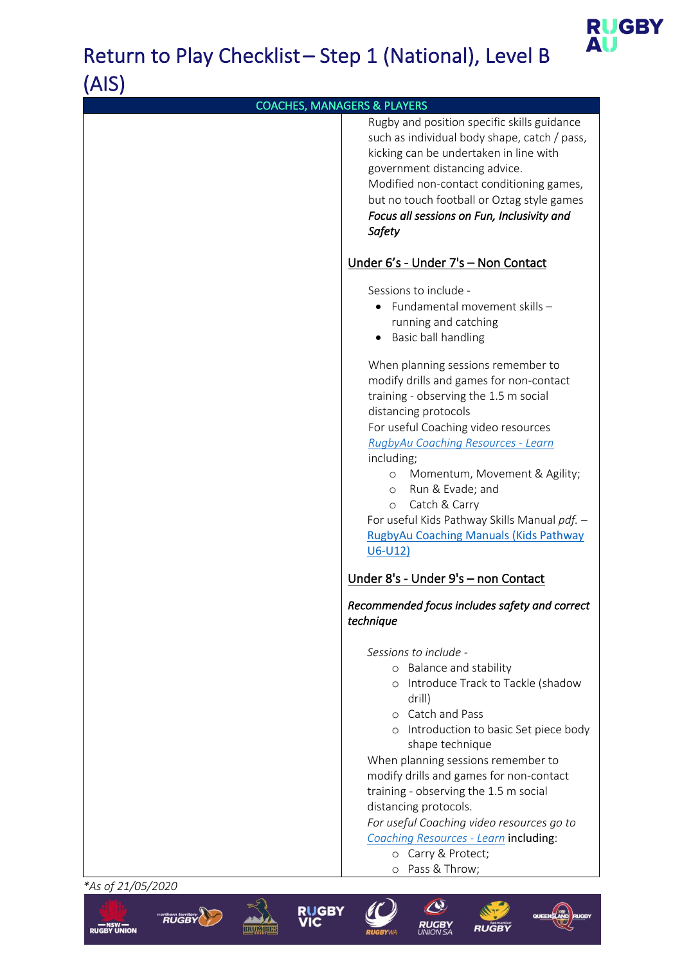

| <b>COACHES, MANAGERS &amp; PLAYERS</b> |                                                                                                                                                                                                                                                                                                                                                                                                                                                                                                                                                                                        |
|----------------------------------------|----------------------------------------------------------------------------------------------------------------------------------------------------------------------------------------------------------------------------------------------------------------------------------------------------------------------------------------------------------------------------------------------------------------------------------------------------------------------------------------------------------------------------------------------------------------------------------------|
|                                        | Rugby and position specific skills guidance<br>such as individual body shape, catch / pass,<br>kicking can be undertaken in line with<br>government distancing advice.<br>Modified non-contact conditioning games,<br>but no touch football or Oztag style games<br>Focus all sessions on Fun, Inclusivity and<br>Safety                                                                                                                                                                                                                                                               |
|                                        | Under 6's - Under 7's - Non Contact                                                                                                                                                                                                                                                                                                                                                                                                                                                                                                                                                    |
|                                        | Sessions to include -<br>• Fundamental movement skills -<br>running and catching<br>Basic ball handling<br>$\bullet$<br>When planning sessions remember to<br>modify drills and games for non-contact<br>training - observing the 1.5 m social<br>distancing protocols<br>For useful Coaching video resources<br>RugbyAu Coaching Resources - Learn<br>including;<br>Momentum, Movement & Agility;<br>$\circ$<br>Run & Evade; and<br>$\circ$<br>Catch & Carry<br>$\circ$<br>For useful Kids Pathway Skills Manual pdf. -<br><b>RugbyAu Coaching Manuals (Kids Pathway</b><br>$U6-U12)$ |
|                                        | Under 8's - Under 9's - non Contact                                                                                                                                                                                                                                                                                                                                                                                                                                                                                                                                                    |
|                                        | Recommended focus includes safety and correct<br>technique                                                                                                                                                                                                                                                                                                                                                                                                                                                                                                                             |
|                                        | Sessions to include -<br>o Balance and stability<br>o Introduce Track to Tackle (shadow<br>drill)<br>o Catch and Pass<br>o Introduction to basic Set piece body<br>shape technique<br>When planning sessions remember to<br>modify drills and games for non-contact<br>training - observing the 1.5 m social<br>distancing protocols.<br>For useful Coaching video resources go to<br>Coaching Resources - Learn including:<br>o Carry & Protect;                                                                                                                                      |
| *As of 21/05/2020                      | o Pass & Throw;                                                                                                                                                                                                                                                                                                                                                                                                                                                                                                                                                                        |

**RUGBY**<br>VIC

**BRUMBIA** 

RUGBY

**RUGBY UNION** 

 $\mathcal{A}$ 

**RUGBY** 

RUG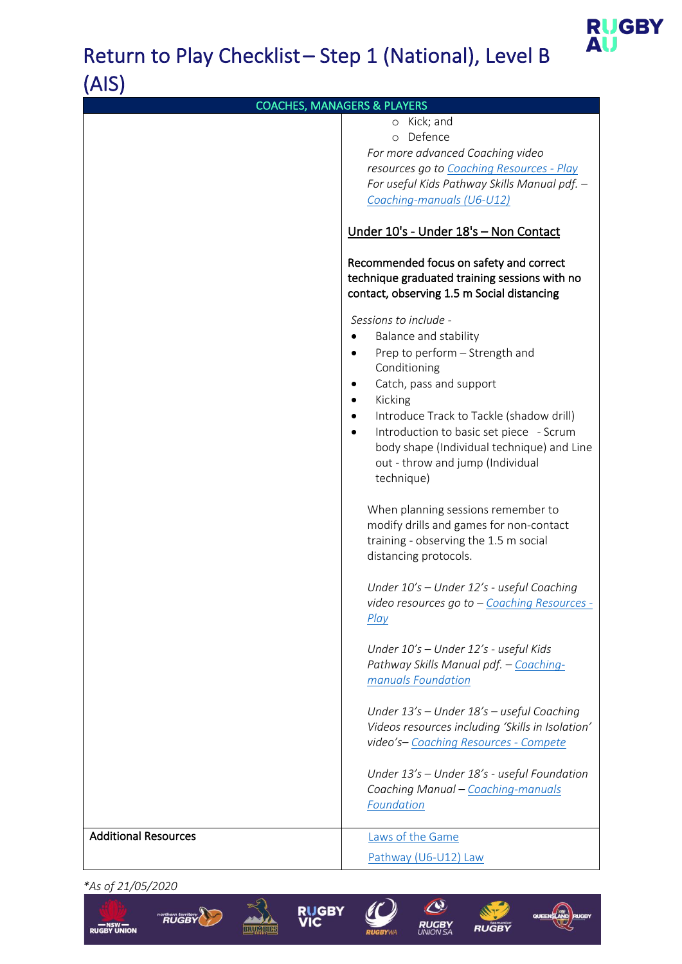

| <b>COACHES, MANAGERS &amp; PLAYERS</b> |                                                      |  |
|----------------------------------------|------------------------------------------------------|--|
|                                        | o Kick; and<br>o Defence                             |  |
|                                        | For more advanced Coaching video                     |  |
|                                        | resources go to Coaching Resources - Play            |  |
|                                        | For useful Kids Pathway Skills Manual pdf. -         |  |
|                                        | Coaching-manuals (U6-U12)                            |  |
|                                        | Under 10's - Under 18's - Non Contact                |  |
|                                        | Recommended focus on safety and correct              |  |
|                                        | technique graduated training sessions with no        |  |
|                                        | contact, observing 1.5 m Social distancing           |  |
|                                        | Sessions to include -                                |  |
|                                        | Balance and stability                                |  |
|                                        | Prep to perform - Strength and                       |  |
|                                        | Conditioning                                         |  |
|                                        | Catch, pass and support                              |  |
|                                        | Kicking                                              |  |
|                                        | Introduce Track to Tackle (shadow drill)             |  |
|                                        | Introduction to basic set piece - Scrum              |  |
|                                        | body shape (Individual technique) and Line           |  |
|                                        | out - throw and jump (Individual<br>technique)       |  |
|                                        |                                                      |  |
|                                        | When planning sessions remember to                   |  |
|                                        | modify drills and games for non-contact              |  |
|                                        | training - observing the 1.5 m social                |  |
|                                        | distancing protocols.                                |  |
|                                        |                                                      |  |
|                                        | Under 10's - Under 12's - useful Coaching            |  |
|                                        | video resources go to - Coaching Resources -<br>Play |  |
|                                        |                                                      |  |
|                                        | Under 10's - Under 12's - useful Kids                |  |
|                                        | Pathway Skills Manual pdf. - Coaching-               |  |
|                                        | manuals Foundation                                   |  |
|                                        | Under 13's - Under 18's - useful Coaching            |  |
|                                        | Videos resources including 'Skills in Isolation'     |  |
|                                        | video's-Coaching Resources - Compete                 |  |
|                                        |                                                      |  |
|                                        | Under 13's - Under 18's - useful Foundation          |  |
|                                        | Coaching Manual - Coaching-manuals                   |  |
|                                        | Foundation                                           |  |
| <b>Additional Resources</b>            | Laws of the Game                                     |  |
|                                        | Pathway (U6-U12) Law                                 |  |
|                                        |                                                      |  |

*\*As of 21/05/2020*





BRU